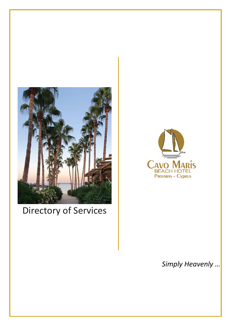

# Directory of Services



## *Simply Heavenly …*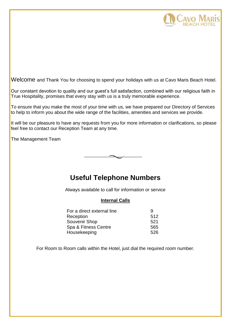

Welcome and Thank You for choosing to spend your holidays with us at Cavo Maris Beach Hotel.

Our constant devotion to quality and our guest's full satisfaction, combined with our religious faith in True Hospitality, promises that every stay with us is a truly memorable experience.

To ensure that you make the most of your time with us, we have prepared our Directory of Services to help to inform you about the wide range of the facilities, amenities and services we provide.

It will be our pleasure to have any requests from you for more information or clarifications, so please feel free to contact our Reception Team at any time.

The Management Team



## **Useful Telephone Numbers**

Always available to call for information or service

## **Internal Calls**

| For a direct external line | q    |
|----------------------------|------|
| Reception                  | 512  |
| Souvenir Shop              | 521  |
| Spa & Fitness Centre       | 565  |
| Housekeeping               | 526. |

For Room to Room calls within the Hotel, just dial the required room number.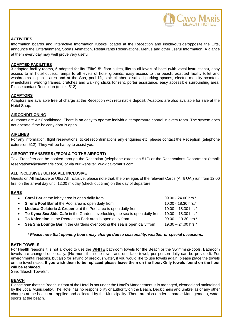

#### **ACTIVITIES**

Information boards and Interactive Information Kiosks located at the Reception and inside/outside/opposite the Lifts, announce the Entertainment, Sports Animation, Restaurants Reservations, Menus and other useful Information. A glance at them every day may well prove very useful.

#### **ADAPTED FACILITIES**

3 adapted facility rooms, 5 adapted facility "Elite" 5<sup>th</sup> floor suites, lifts to all levels of hotel (with vocal instructions), easy access to all hotel outlets, ramps to all levels of hotel grounds, easy access to the beach, adapted facility toilet and washrooms in public area and at the Spa, pool lift, stair climber, disabled parking spaces, electric mobility scooters, wheelchairs, walking frames, crutches and walking sticks for rent, porter assistance, easy accessible surrounding area. Please contact Reception (tel ext 512).

#### **ADAPTORS**

Adaptors are available free of charge at the Reception with returnable deposit. Adaptors are also available for sale at the Hotel Shop.

#### **AIRCONDITIONING**

All rooms are Air Conditioned. There is an easy to operate individual temperature control in every room. The system does not operate if the balcony door is open.

#### **AIRLINES**

For any information, flight reservations, ticket reconfirmations any enquiries etc, please contact the Reception (telephone extension 512). They will be happy to assist you.

#### **AIRPORT TRANSFERS (FROM & TO THE AIRPORT)**

Taxi Transfers can be booked through the Reception (telephone extension 512) or the Reservations Department (email: reservations@cavomaris.com) or via our website: [www.cavomaris.com](http://www.cavomaris.com/)

#### **ALL INCLUSIVE / ULTRA ALL INCLUSIVE**

Guests on All Inclusive or Ultra All Inclusive, please note that, the privileges of the relevant Cards (AI & UAI) run from 12.00 hrs. on the arrival day until 12.00 midday (check out time) on the day of departure.

#### **BARS**

|           | • Coral Bar at the lobby area is open daily from                              | 09.00 - 24.00 hrs.*   |
|-----------|-------------------------------------------------------------------------------|-----------------------|
| $\bullet$ | Sirena Pool Bar at the Pool area is open daily from                           | 10.00 - 18.30 hrs.*   |
| $\bullet$ | Medusa Gelateria & Creperie at the Pool area is open daily from               | 10.00 - 18.30 hrs *   |
|           | • To Kyma Sea Side Cafe in the Gardens overlooking the sea is open daily from | $10.00 - 18.30$ hrs.* |
|           | • To Kafeneion in the Recreation Park area is open daily from                 | 09.00 - 19.30 hrs.*   |
| $\bullet$ | Sea Sha Lounge Bar in the Gardens overlooking the sea is open daily from      | 19.30 - 24.00 hrs.*   |

#### *\* Please note that opening hours may change due to seasonality, weather or special occasions.*

#### **ΒΑΤΗ TOWELS**

For Health reasons it is not allowed to use the **WHITE** bathroom towels for the Beach or the Swimming-pools. Bathroom towels are changed once daily. (No more than one towel and one face towel, per person daily can be provided). For environmental reasons, but also for saving of precious water, if you would like to use towels again, please place the towels on the towel racks. **If you wish them to be replaced please leave them on the floor. Only towels found on the floor will be replaced.**

See: "Beach Towels**".**

#### **BEACH**

Please note that the Beach in front of the Hotel is not under the Hotel's Management. It is managed, cleaned and maintained by the Local Municipality. The Hotel has no responsibility or authority on the Beach. Deck chairs and umbrellas or any other charges at the beach are applied and collected by the Municipality. There are also (under separate Management), water sports at the beach.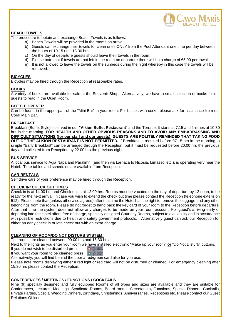

### **BEACH TOWELS**

The procedure to obtain and exchange Beach Towels is as follows:-

- a) Beach Towels will be provided in the rooms on arrival.
- b) Guests can exchange their towels for clean ones ONLY from the Pool Attendant one time per day between the hours of 10.15 until 18.30 hrs
- c) On the day of departure guests should leave their towels in the room.
- d) Please note that if towels are not left in the room on departure there will be a charge of €5.00 per towel.
- e) It is not allowed to leave the towels on the sunbeds during the night whereby in this case the towels will be removed.

## **BICYCLES**

Bicycles may be hired through the Reception at reasonable rates.

## **BOOKS**

A variety of books are available for sale at the Souvenir Shop. Alternatively, we have a small selection of books for our guests to read in the Quiet Room.

## **BOTTLE OPENER**

Can be found in the upper part of the "Mini Bar" in your room. For bottles with corks, please ask for assistance from our Coral Main Bar.

## **BREAKFAST**

Breakfast (Buffet Style) is served in our **"Alkion Buffet Restaurant**" and the Terrace**.** It starts at 7.15 and finishes at 10.30 hrs in the morning. **FOR HEALTH AND OTHER OBVIOUS REASONS AND TO AVOID ANY EMBARRASSING AND DIFFICULT SITUATIONS (for our staff and our guests), GUESTS ARE POLITELY REMINDED THAT TAKING FOOD OUT OF THE ALKION RESTAURANT IS NOT PERMITTED.** If Breakfast is required before 07.15 hrs in the morning, a simple "Early Breakfast" can be arranged through the Reception, but it must be requested before 20.00 hrs the previous day and collected from Reception by 22.00 hrs the previous night.

#### **BUS SERVICE**

A local bus service to Agia Napa and Paralimni (and then via Larnaca to Nicosia, Limassol etc.), is operating very near the Hotel. Time tables and schedules are available from Reception.

#### **CAR RENTALS**

Self drive cars of your preference may be hired through the Reception.

#### **CHECK IN/ CHECK OUT TIMES**

Check in is at 14.00 hrs and Check out is at 12.00 hrs. Rooms must be vacated on the day of departure by 12 noon, to be ready for the next arrival. In case you wish to extend the check out time please contact the Reception (telephone extension 512). Please note that (unless otherwise agreed) after that time the Hotel has the right to remove the luggage and any other belongings from the room. Please do not forget to hand back the key card of your room to the Reception before departure. After that time the system does not allow any charges to be made on your room account. For guest's arriving early or departing late the Hotel offers free of charge, specially designed Courtesy Rooms, subject to availability and in accordance with possible restrictions due to health and safety government protocols. Alternatively guest can ask our Reception for either an early check in or late check out with an extra charge.

## **CLEANING OF ROOM/DO NOT DISTURB SYSTEM:**

The rooms are cleaned between 09.00 hrs and 15.30 hrs.

Next to the lights as you enter your room we have installed electronic "Make up your room" **or** "Do Not Disturb" buttons.

If you do not wish to be disturbed press **O** @ DO NOT

If you want your room to be cleaned press  $\bullet$   $\bullet$   $\bullet$   $\bullet$ 

Alternatively, you will find behind the door a red/green card also for you use.

Please note rooms displaying either a red light or red card will not be disturbed or cleaned. For emergency cleaning after 15.30 hrs please contact the Reception.

## **CONFERENCES / MEETINGS / FUNCTIONS / COCKTAILS**

Nine (9) specially designed and fully equipped Rooms of all types and sizes are available and they are suitable for Conferences, Lectures, Meetings, Syndicate Rooms, Board rooms, Secretariats**,** Functions, Special Dinners, Cocktails, Private Parties, Special Wedding Dinners, Birthdays, Christenings, Anniversaries, Receptions etc. Please contact our Guest Relations Officer.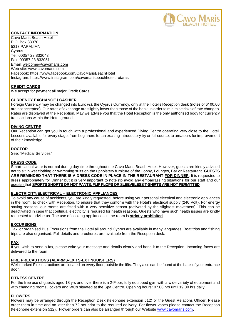

#### **CONTACT INFORMATION**

Cavo Maris Beach Hotel P.O. Box 33370 5313 PARALIMNI Cyprus Tel: 00357 23 832043 Fax: 00357 23 832051 Email: [welcome@cavomaris.com](mailto:cavo@cytanet.com.cy) Web site: [www.cavomaris.com](http://www.cavomaris.com/) Facebook: https://www.facebook.com/CavoMarisBeachHotel Instagram: https://www.instagram.com/cavomarisbeachhotelprotaras

#### **CREDIT CARDS**

We accept for payment all major Credit Cards.

#### **CURRENCY EXCHANGE / CASHIER**

Foreign Currency may be changed into Euro ( $\epsilon$ ), the Cyprus Currency, only at the Hotel's Reception desk (notes of \$100.00 are not accepted). Our rates of exchange are slightly lower than those of the bank, in order to minimise risks of rate changes. Rates are displayed at the Reception. May we advise you that the Hotel Reception is the only authorised body for currency transactions within the Hotel grounds.

#### **DIVING CENTRE**

Our Reception can get you in touch with a professional and experienced Diving Centre operating very close to the Hotel. Lessons available for every stage, from beginners for an exciting introductory try or full course, to amateurs for improvement of their knowledge.

#### **DOCTOR**

See: "Medical Services"

#### **DRESS CODE**

Smart casual wear is normal during day-time throughout the Cavo Maris Beach Hotel. However, guests are kindly advised not to sit in wet clothing or swimming suits on the upholstery furniture of the Lobby, Lounges, Bar or Restaurant. **GUESTS ARE REMINDED THAT THERE IS A DRESS CODE IN PLACE IN THE RESTAURANT FOR DINNER**. It is requested to dress appropriately for Dinner but it is very important to note (to avoid any embarrassing situations for our staff and our guests) that **SPORTS SHORTS OR HOT PANTS, FLIP FLOPS OR SLEEVELESS T-SHIRTS ARE NOT PERMITTED.**

#### **ELECTRICITY/ELECTRICAL – ELECTRONIC APPLIANCES**

To avoid any cause of accidents, you are kindly requested, before using your personal electrical and electronic appliances in the room, to check with Reception, to ensure that they conform with the Hotel's electrical supply (240 Volt). For energy saving reasons, our rooms are fitted with a very sensitive sensor (activated by the slightest movement). This can be deactivated in case that continual electricity is required for health reasons. Guests who have such health issues are kindly requested to advise us. The use of cooking appliances in the room is **strictly prohibited**.

#### **EXCURSIONS**

Taxi or organised Bus Excursions from the Hotel all around Cyprus are available in many languages. Boat trips and fishing trips are also organised. Full details and brochures are available from the Reception desk.

#### **FAX**

If you wish to send a fax, please write your message and details clearly and hand it to the Reception. Incoming faxes are delivered to the room.

#### **FIRE PRECAUTIONS (ALARMS-EXITS-EXTINGUISHERS)**

Well marked Fire instructions are located on every floor, outside the lifts. They also can be found at the back of your entrance door.

#### **FITNESS CENTRE**

For the free use of guests aged 18 yrs and over there is a 2-Floor, fully equipped gym with a wide variety of equipment and with changing rooms, lockers and WCs situated at the Spa Centre. Opening hours: 07.00 hrs until 19.00 hrs daily.

## **FLOWERS**

Flowers may be arranged through the Reception Desk (telephone extension 512) or the Guest Relations Officer. Please order them in time and no later than 72 hrs prior to the required delivery. For flower vases please contact the Reception (telephone extension 512). Flower orders can also be arranged through our Website [www.cavomaris.com,](http://www.cavomaris.com/)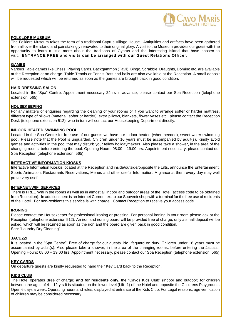

#### **FOLKLORE MUSEUM**

The Folklore Museum takes the form of a traditional Cyprus Village House. Antiquities and artifacts have been gathered from all over the island and painstakingly renovated to their original glory. A visit to the Museum provides our guest with the opportunity to learn a little more about the traditions of Cyprus and the interesting Island that have chosen to visit. **ENTRANCE FREE and visits can be arranged with our Guest Relations Officer.**

#### **GAMES**

Various Table games like Chess, Playing Cards, Backgammon (Tavli), Bingo, Scrabble, Draughts, Domino etc, are available at the Reception at no charge. Table Tennis or Tennis Bats and balls are also available at the Reception. A small deposit will be requested which will be returned as soon as the games are brought back in good condition.

#### **HAIR DRESSING SALON**

Located in the "Spa" Centre. Appointment necessary 24hrs in advance, please contact our Spa Reception (telephone extension: 565).

#### **HOUSEKEEPING**

For any matters or enquiries regarding the cleaning of your rooms or if you want to arrange softer or harder mattress, different type of pillows (material, softer or harder), extra pillows, blankets, flower vases etc., please contact the Reception Desk (telephone extension 512), who in turn will contact our Housekeeping Department directly.

#### **INDOOR HEATED SWIMMING POOL**

Located in the Spa Centre for free use of our guests we have our Indoor heated (when needed), sweet water swimming pool. Please note that the Pool is unguarded. Children under 16 years must be accompanied by adult(s). Kindly avoid games and activities in the pool that may disturb your fellow holidaymakers. Also please take a shower, in the area of the changing rooms, before entering the pool. Opening Hours: 08.00 – 19.00 hrs. Appointment necessary, please contact our Spa Reception (telephone extension: 565)

#### **INTERACTIVE INFORMATION KIOSKS**

Interactive Information Kioskis located at the Reception and inside/outside/opposite the Lifts, announce the Entertainment, Sports Animation, Restaurants Reservations, Menus and other useful Information. A glance at them every day may well prove very useful.

#### **INTERNET/WIFI SERVICES**

There is FREE Wifi in the rooms as well as in almost all indoor and outdoor areas of the Hotel (access code to be obtained from Reception). In addition there is an Internet Corner next to our Souvenir shop with a terminal for the free use of residents of the Hotel. For non-residents this service is with charge. Contact Reception to receive your access code.

#### **IRONING**

Please contact the Housekeeper for professional ironing or pressing. For personal ironing in your room please ask at the Reception (telephone extension 512). An iron and ironing board will be provided free of charge, only a small deposit will be asked, which will be returned as soon as the iron and the board are given back in good condition. See: "Laundry Dry Cleaning".

#### **JACUZZI**

It is located in the "Spa Centre". Free of charge for our guests. No lifeguard on duty. Children under 16 years must be accompanied by adult(s). Also please take a shower, in the area of the changing rooms, before entering the Jacuzzi. Opening Hours: 08.00 – 19.00 hrs. Appointment necessary, please contact our Spa Reception (telephone extension: 565)

## **KEY CARDS**

On departure guests are kindly requested to hand their Key Card back to the Reception.

#### **KIDS CLUB**

The Hotel operates (free of charge) **and for residents only,** the "Cavos Kids Club" (indoor and outdoor) for children between the ages of 4 – 12 yrs It is situated on the lower level (Lift -1) of the Hotel and opposite the Childrens Playground. Open 6 days a week. Operating hours and rules, displayed at entrance of the Kids Club. For Legal reasons, age verification of children may be considered necessary.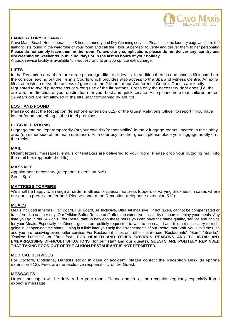

#### **LAUNDRY / DRY CLEANING**

Cavo Maris Beach Hotel operates a 48 hours Laundry and Dry Cleaning service. Please use the laundry bags and fill in the laundry lists found in the wardrobe of your room and call the Floor Supervisor to verify and deliver them to her personally. **Please do not simply leave them in the room**. **To avoid any complications please do not deliver any laundry and dry cleaning on weekends, public holidays or in the last 48 hours of your holiday**.

A quick service facility is available "on request" and at an appropriate extra charge.

#### **LIFTS**

In the Reception area there are three passenger lifts to all levels. In addition there is one access lift located on the corridor leading out the Tennis Courts which provides also access to the Spa and Fitness Centre. An extra lift also exists to serve the access of guests to the 2 floors of our Conference Centre. Guests are kindly requested to avoid purposeless or wrong use of the lift buttons. Press only the necessary right ones (i.e. the arrow to the direction of your destination) for your best and quick service. Also please note that children under 12 years old are not allowed in the lifts unaccompanied by adult(s).

#### **LOST AND FOUND**

Please contact the Reception (telephone extension 512) or the Guest Relations Officer to report if you have lost or found something in the Hotel premises.

#### **LUGGAGE ROOMS**

Luggage can be kept temporarily (at your own risk/responsibility) in the 2 luggage rooms, located in the Lobby area (on either side of the main entrance). As a courtesy to other guests please place your luggage neatly on the racks.

#### **MAIL**

Urgent letters, messages, emails or telefaxes are delivered to your room. Please drop your outgoing mail into the mail box (opposite the lifts).

#### **MASSAGE**

Appointment necessary (telephone extension 565) See: "Spa".

#### **MATTRESS TOPPERS**

We shall be happy to arrange a harder mattress or special mattress toppers of varying thickness in cases where our guests prefer a softer bed. Please contact the Reception (telephone extension 512).

#### **MEALS**

Meals included in terms (Half Board, Full Board, All Inclusive, Ultra All Inclusive), if not taken, cannot be compensated or transferred to another day. Our "Alkion Buffet Restaurant" offers an extensive possibility of hours to enjoy your meals. Any time you go in our "Alkion Buffet Restaurant" in between these hours you can have the same quality, service and choice for your Meals. Especially for Dinner, guests are politely requested to wait to be seated and it is not necessary to rush, going in, at opening time sharp. Going in a little later you help the arrangements of our Restaurant Staff, you avoid the rush and you are receiving even better service. For Restaurant times and other details see "Restaurants", "Bars", "Snacks", "Packed Lunches". or "Breakfast". **FOR HEALTH AND OTHER OBVIOUS REASONS AND TO AVOID ANY EMBARRASSING DIFFICULT SITUATIONS (for our staff and our guests), GUESTS ARE POLITELY REMINDED THAT TAKING FOOD OUT OF THE ALKION RESTAURANT IS NOT PERMITTED.** 

#### **MEDICAL SERVICES**

For Doctors, Opticians, Dentists etc.or in case of accident, please contact the Reception Desk (telephone extension 512). Fees are the exclusive responsibility of the Guest.

#### **MESSAGES**

Urgent messages will be delivered to your room. Please enquire at the reception regularly especially if you expect a message.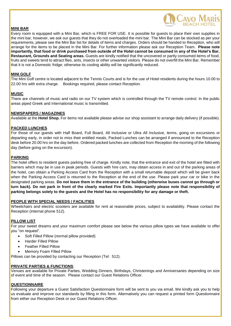

#### **MINI BAR**

Every room is equipped with a Mini Bar, which is FREE FOR USE. It is possible for guests to place their own supplies in the mini bar, however, we ask our quests that they do not overloaded the mini bar. The Mini Bar can be stocked as per your requirements, please see the Mini Bar list for details of items and charges. Orders should be handed to Reception, who will arrange for the items to be placed in the Mini Bar. For further information please ask our Reception Team. **Please note importantly, that food or drink purchased from outside of the Hotel cannot be consumed in any of the Hotel's Bar, Restaurant, Grounds and Seating areas.** Guests are kindly notified that the uncovered or partly consumed items of food, fruits and sweets tend to attract flies, ants, insects or other unwanted visitors. Please do not overfill the Mini Bar. Remember that it is not a Domestic fridge; otherwise its cooling ability will be significantly reduced.

#### **MINI GOLF**

The Mini Golf centre is located adjacent to the Tennis Courts and is for the use of Hotel residents during the hours 10.00 to 22.00 hrs with extra charge. Bookings required, please contact Reception.

#### **MUSIC**

There are channels of music and radio on our TV system which is controlled through the TV remote control. In the public areas piped Greek and International music is transmitted.

#### **NEWSPAPERS / MAGAZINES**

Available at the **Hotel Shop.** For items not available please advise our shop assistant to arrange daily delivery (if possible).

#### **PACKED LUNCHES**

For those of our guests with Half Board, Full Board, All Inclusive or Ultra All Inclusive, terms, going on excursions or departing early, in order not to miss their entitled meals, Packed Lunches can be arranged if announced to the Reception desk before 20.00 hrs on the day before. Ordered packed lunches are collected from Reception the morning of the following day (before going on the excursion).

#### **PARKING**

The hotel offers to resident guests parking free of charge. Kindly note, that the entrance and exit of the hotel are fitted with barriers which may be in use in peak periods. Guests with hire cars, may obtain access in and out of the parking areas of the hotel, can obtain a Parking Access Card from the Reception with a small returnable deposit which will be given back when the Parking Access Card is returned to the Reception at the end of the use. Please park your car or bike in the designated parking areas. **Do not leave them in the entrance of the building (otherwise buses cannot go through or turn back). Do not park in front of the clearly marked Fire Exits. Importantly please note that responsibility of parking belongs solely to the guests and the Hotel has no responsibility for any damage or theft.**

#### **PEOPLE WITH SPECIAL NEEDS / FACILITIES**

Wheelchairs and electric scooters are available for rent at reasonable prices, subject to availability. Please contact the Reception (internal phone 512).

#### **PILLOW LIST**

For your sweet dreams and your maximum comfort please see below the various pillow types we have available to offer you "on request".

- Soft Filled Pillow (normal pillow provided)
- Harder Filled Pillow
- Feather Filled Pillow
- Memory Foam Filled Pillow

Pillows can be provided by contacting our Reception (Tel: 512).

#### **PRIVATE PARTIES & FUNCTIONS**:

Venues are available for Private Parties, Wedding Dinners, Birthdays, Christenings and Anniversaries depending on size of event and time of the season. Please contact our Guest Relations Officer.

#### **QUESTIONNAIRE**

Following your departure a Guest Satisfaction Questionnaire form will be sent to you via email. We kindly ask you to help us evaluate and improve our standards by filling in this form. Alternatively you can request a printed form Questionnaire from either our Reception Desk or our Guest Relations Officer.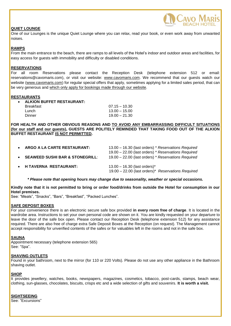## **QUIET LOUNGE**



One of our Lounges is the unique Quiet Lounge where you can relax, read your book, or even work away from unwanted noises.

#### **RAMPS**

From the main entrance to the beach, there are ramps to all levels of the Hotel's indoor and outdoor areas and facilities, for easy access for guests with immobility and difficulty or disabled conditions.

#### **RESERVATIONS**

For all room Reservations please contact the Reception Desk (telephone extension 512 or email: reservations@cavomaris.com), or visit our website: [www.cavomaris.com.](http://www.cavomaris.com/) We recommend that our guests watch our website [\(www.cavomaris.com\)](http://www.cavomaris.com/) for regular special offers that apply, sometimes applying for a limited sales period, that can be very generous and which only apply for bookings made through our website.

#### **RESTAURANTS**

| $07.15 - 10.30$ |
|-----------------|
| $13.00 - 15.00$ |
| $19.00 - 21.30$ |
|                 |

**FOR HEALTH AND OTHER OBVIOUS REASONS AND TO AVOID ANY EMBARRASSING DIFFICULT SITUATIONS (for our staff and our guests), GUESTS ARE POLITELY REMINDED THAT TAKING FOOD OUT OF THE ALKION BUFFET RESTAURANT IS NOT PERMITTED.** 

| ARGO A LA CARTE RESTAURANT:                | 13.00 - 16.30 (last orders) * Reservations Required<br>19.00 - 22.00 (last orders) * Reservations Required |
|--------------------------------------------|------------------------------------------------------------------------------------------------------------|
| <b>SEAWEED SUSHI BAR &amp; STONEGRILL:</b> | 19.00 - 22.00 (last orders) * Reservations Required                                                        |
|                                            |                                                                                                            |
| • H TAVERNA RESTAURANT:                    | $13.00 - 16.30$ (last orders) <sup>*</sup><br>19.00 - 22.00 (last orders)* Reservations Required           |

*\* Please note that opening hours may change due to seasonality, weather or special occasions.*

**Kindly note that it is not permitted to bring or order food/drinks from outside the Hotel for consumption in our Hotel premises.** 

See: "Meals", "Snacks", "Bars", "Breakfast", "Packed Lunches".

#### **SAFE DEPOSIT BOXES**

For your convenience there is an electronic secure safe box provided **in every room free of charge**. It is located in the wardrobe area. Instructions to set your own personal code are shown on it. You are kindly requested on your departure to leave the door of the safe box open. Please contact our Reception Desk (telephone extension 512) for any assistance required. There are also free of charge extra Safe Deposit Boxes at the Reception (on request). The Management cannot accept responsibility for unverified contents of the safes or for valuables left in the rooms and not in the safe box.

#### **SAUNA**

Appointment necessary (telephone extension 565) See: "Spa".

#### **SHAVING OUTLETS**

Found in your bathroom, next to the mirror (for 110 or 220 Volts). Please do not use any other appliance in the Bathroom shaving outlet.

#### **SHOP**

It provides jewellery, watches, books, newspapers, magazines, cosmetics, tobacco, post-cards, stamps, beach wear, clothing, sun-glasses, chocolates, biscuits, crisps etc and a wide selection of gifts and souvenirs. **It is worth a visit.**

#### **SIGHTSEEING**

See: "Excursions"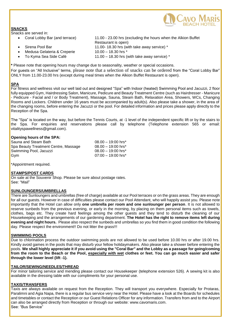

## **SNACKS**

Snacks are served in:

- 
- 
- Medusa Gelateria & Creperie 10.00 18.30 hrs \*
- 
- Coral Lobby Bar (and terrace) 11.00 23.00 hrs (excluding the hours when the Alkion Buffet Restaurant is open) Sirena Pool Bar 11.00- 18.30 hrs (with take away service) \*
- To Kyma Sea Side Café 11.00 18.30 hrs (with take away service) \*

**\*** Please note that opening hours may change due to seasonality, weather or special occasions. For guests on "All Inclusive" terms, please note that a selection of snacks can be ordered from the "Coral Lobby Bar" ONLY from 11.00-23.00 hrs (except during meal times when the Alkion Buffet Restaurant is open).

## **SPA**

For fitness and wellness visit our well laid out and designed "Spa" with Indoor (heated) Swimming Pool and Jacuzzi, 2 floor fully equipped Gym, Hairdressing Salon, Manicure, Pedicure and Beauty Treatment Centre (such as Hairdresser - Manicure - Pedicure - Facial and / or Body Treatment), Massage, Sauna, Steam Bath, Relaxation Area, Showers, WCs, Changing Rooms and Lockers. Children under 16 years must be accompanied by adult(s). Also please take a shower, in the area of the changing rooms, before entering the Jacuzzi or the pool. For detailed information and prices please apply directly to the Reception of the Spa.

The "Spa" is located on the way, but before the Tennis Courts, at -1 level of the independent specific lift or by the stairs to the Spa. For enquiries and reservations please call by telephone (Telephone extension 565 or email: vitalityspawellness@gmail.com).

## **Opening hours of the SPA:**

| Sauna and Steam Bath                 | $08.00 - 19:00$ hrs* |
|--------------------------------------|----------------------|
| Spa Beauty Treatment Centre, Massage | $08.00 - 19:00$ hrs* |
| Swimming Pool, Jacuzzi               | $08.00 - 19:00$ hrs* |
| Gvm                                  | $07:00 - 19:00$ hrs* |

\*Appointment required.

## **STAMPS/POST CARDS**

On sale at the Souvenir Shop. Please be sure about postage rates. See: "Mail"

#### **SUNLOUNGERS/UMBRELLAS**

There are Sunloungers and umbrellas (free of charge) available at our Pool terraces or on the grass areas. They are enough for all our guests. However in case of difficulties please contact our Pool Attendant, who will happily assist you. Please note importantly that the Hotel can allow only **one umbrella per room and one sunlounger per person**. It is not allowed to reserve sunbeds from the previous evening, or early in the morning, by placing on them personal items such as towels, clothes, bags etc. They create hard feelings among the other guests and they tend to disturb the cleaning of our Housekeeping and the arrangements of our gardening department. **The Hotel has the right to remove items left during evening and night hours.** Please also respect the sunbeds and umbrellas so you find them in good condition the following day. Please respect the environment!! Do not litter the grass!!!

#### **SWIMMING POOLS**

Due to chlorination process the outdoor swimming pools are not allowed to be used before 10.00 hrs or after 19.00 hrs. Kindly avoid games in the pools that may disturb your fellow holidaymakers. Also please take a shower before entering the pools. **We shall highly appreciate it if you avoid using the "Coral Bar" and the Lobby as a passage for going/coming from the room to the Beach or the Pool, especially with wet clothes or feet. You can go much easier and safer through the lower level (lift -1).**

#### **TAILOR/SEWING/NEEDLES/THREAD**

For minor tailoring service and mending please contact our Housekeeper (telephone extension 526). A sewing kit is also available in the dressing table with our compliments for your personal use.

#### **TAXIS/TRANSFERS**

Taxis are always available on request from the Reception. They will transport you everywhere. Especially for Protaras, Paralimni and Agia Napa, there is a regular bus service very near the Hotel. Please have a look at the Boards for schedules and timetables or contact the Reception or our Guest Relations Officer for any information. Transfers from and to the Airport can also be arranged directly from Reception or through our website: www.cavomaris.com. See: "Bus Service"